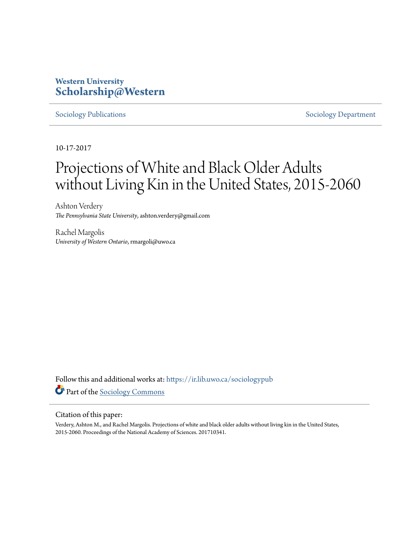# **Western University [Scholarship@Western](https://ir.lib.uwo.ca?utm_source=ir.lib.uwo.ca%2Fsociologypub%2F45&utm_medium=PDF&utm_campaign=PDFCoverPages)**

[Sociology Publications](https://ir.lib.uwo.ca/sociologypub?utm_source=ir.lib.uwo.ca%2Fsociologypub%2F45&utm_medium=PDF&utm_campaign=PDFCoverPages) **[Sociology Department](https://ir.lib.uwo.ca/sociology?utm_source=ir.lib.uwo.ca%2Fsociologypub%2F45&utm_medium=PDF&utm_campaign=PDFCoverPages)** 

10-17-2017

# Projections of White and Black Older Adults without Living Kin in the United States, 2015-2060

Ashton Verdery *The Pennsylvania State University*, ashton.verdery@gmail.com

Rachel Margolis *University of Western Ontario*, rmargoli@uwo.ca

Follow this and additional works at: [https://ir.lib.uwo.ca/sociologypub](https://ir.lib.uwo.ca/sociologypub?utm_source=ir.lib.uwo.ca%2Fsociologypub%2F45&utm_medium=PDF&utm_campaign=PDFCoverPages) Part of the [Sociology Commons](http://network.bepress.com/hgg/discipline/416?utm_source=ir.lib.uwo.ca%2Fsociologypub%2F45&utm_medium=PDF&utm_campaign=PDFCoverPages)

## Citation of this paper:

Verdery, Ashton M., and Rachel Margolis. Projections of white and black older adults without living kin in the United States, 2015-2060. Proceedings of the National Academy of Sciences. 201710341.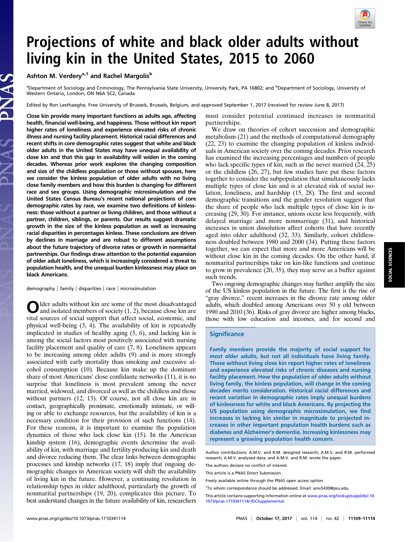

# Projections of white and black older adults without living kin in the United States, 2015 to 2060

Ashton M. Verdery<sup>a,1</sup> and Rachel Margolis<sup>b</sup>

<sup>a</sup>Department of Sociology and Criminology, The Pennsylvania State University, University Park, PA 16802; and <sup>b</sup>Department of Sociology, University of Western Ontario, London, ON N6A 5C2, Canada

Edited by Ron Lesthaeghe, Free University of Brussels, Brussels, Belgium, and approved September 1, 2017 (received for review June 8, 2017)

Close kin provide many important functions as adults age, affecting health, financial well-being, and happiness. Those without kin report higher rates of loneliness and experience elevated risks of chronic illness and nursing facility placement. Historical racial differences and recent shifts in core demographic rates suggest that white and black older adults in the United States may have unequal availability of close kin and that this gap in availability will widen in the coming decades. Whereas prior work explores the changing composition and size of the childless population or those without spouses, here we consider the kinless population of older adults with no living close family members and how this burden is changing for different race and sex groups. Using demographic microsimulation and the United States Census Bureau's recent national projections of core demographic rates by race, we examine two definitions of kinlessness: those without a partner or living children, and those without a partner, children, siblings, or parents. Our results suggest dramatic growth in the size of the kinless population as well as increasing racial disparities in percentages kinless. These conclusions are driven by declines in marriage and are robust to different assumptions about the future trajectory of divorce rates or growth in nonmarital partnerships. Our findings draw attention to the potential expansion of older adult loneliness, which is increasingly considered a threat to population health, and the unequal burden kinlessness may place on black Americans.

demography | family | disparities | race | microsimulation

Older adults without kin are some of the most disadvantaged<br>and isolated members of society (1, 2), because close kin are vital sources of social support that affect social, economic, and physical well-being (3, 4). The availability of kin is repeatedly implicated in studies of healthy aging (5, 6), and lacking kin is among the social factors most positively associated with nursing facility placement and quality of care (7, 8). Loneliness appears to be increasing among older adults (9) and is more strongly associated with early mortality than smoking and excessive alcohol consumption (10). Because kin make up the dominant share of most Americans' close confidante networks (11), it is no surprise that loneliness is most prevalent among the never married, widowed, and divorced as well as the childless and those without partners (12, 13). Of course, not all close kin are in contact, geographically proximate, emotionally intimate, or willing or able to exchange resources, but the availability of kin is a necessary condition for their provision of such functions (14). For these reasons, it is important to examine the population dynamics of those who lack close kin (15). In the American kinship system (16), demographic events determine the availability of kin, with marriage and fertility producing kin and death and divorce reducing them. The clear links between demographic processes and kinship networks (17, 18) imply that ongoing demographic changes in American society will shift the availability of living kin in the future. However, a continuing revolution in relationship types in older adulthood, particularly the growth of nonmarital partnerships (19, 20), complicates this picture. To best understand changes in the future availability of kin, researchers must consider potential continued increases in nonmarital partnerships.

We draw on theories of cohort succession and demographic metabolism (21) and the methods of computational demography (22, 23) to examine the changing population of kinless individuals in American society over the coming decades. Prior research has examined the increasing percentages and numbers of people who lack specific types of kin, such as the never married (24, 25) or the childless (26, 27), but few studies have put these factors together to consider the subpopulation that simultaneously lacks multiple types of close kin and is at elevated risk of social isolation, loneliness, and hardship (15, 28). The first and second demographic transitions and the gender revolution suggest that the share of people who lack multiple types of close kin is increasing (29, 30). For instance, unions occur less frequently, with delayed marriage and more nonmarriage (31), and historical increases in union dissolution affect cohorts that have recently aged into older adulthood (32, 33). Similarly, cohort childlessness doubled between 1980 and 2000 (34). Putting these factors together, we can expect that more and more Americans will be without close kin in the coming decades. On the other hand, if nonmarital partnerships take on kin-like functions and continue to grow in prevalence (20, 35), they may serve as a buffer against such trends.

Two ongoing demographic changes may further amplify the size of the US kinless population in the future. The first is the rise of "gray divorce," recent increases in the divorce rate among older adults, which doubled among Americans over 50 y old between 1990 and 2010 (36). Risks of gray divorce are higher among blacks, those with low education and incomes, and for second and

### **Significance**

Family members provide the majority of social support for most older adults, but not all individuals have living family. Those without living close kin report higher rates of loneliness and experience elevated risks of chronic diseases and nursing facility placement. How the population of older adults without living family, the kinless population, will change in the coming decades merits consideration. Historical racial differences and recent variation in demographic rates imply unequal burdens of kinlessness for white and black Americans. By projecting the US population using demographic microsimulation, we find increases in lacking kin similar in magnitude to projected increases in other important population health burdens such as diabetes and Alzheimer's dementia. Increasing kinlessness may represent a growing population health concern.

Author contributions: A.M.V. and R.M. designed research; A.M.V. and R.M. performed research; A.M.V. analyzed data; and A.M.V. and R.M. wrote the paper.

The authors declare no conflict of interest.

This article is a PNAS Direct Submission.

Freely available online through the PNAS open access option.

<sup>1</sup> To whom correspondence should be addressed. Email: [amv5430@psu.edu](mailto:amv5430@psu.edu).

This article contains supporting information online at [www.pnas.org/lookup/suppl/doi:10.](http://www.pnas.org/lookup/suppl/doi:10.1073/pnas.1710341114/-/DCSupplemental) [1073/pnas.1710341114/-/DCSupplemental](http://www.pnas.org/lookup/suppl/doi:10.1073/pnas.1710341114/-/DCSupplemental).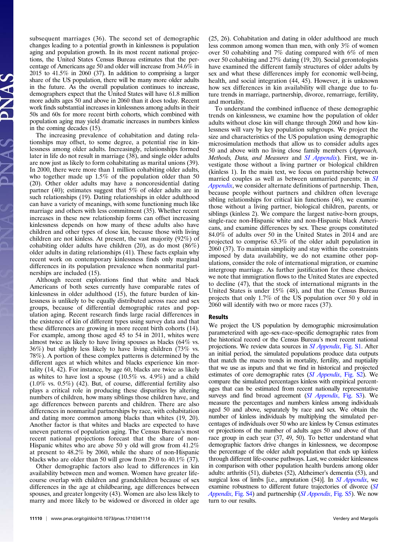subsequent marriages (36). The second set of demographic changes leading to a potential growth in kinlessness is population aging and population growth. In its most recent national projections, the United States Census Bureau estimates that the percentage of Americans age 50 and older will increase from 34.6% in 2015 to 41.5% in 2060 (37). In addition to comprising a larger share of the US population, there will be many more older adults in the future. As the overall population continues to increase, demographers expect that the United States will have 61.8 million more adults ages 50 and above in 2060 than it does today. Recent work finds substantial increases in kinlessness among adults in their 50s and 60s for more recent birth cohorts, which combined with population aging may yield dramatic increases in numbers kinless in the coming decades (15).

The increasing prevalence of cohabitation and dating relationships may offset, to some degree, a potential rise in kinlessness among older adults. Increasingly, relationships formed later in life do not result in marriage (38), and single older adults are now just as likely to form cohabitating as marital unions (39). In 2000, there were more than 1 million cohabiting older adults, who together made up 1.5% of the population older than 50 (20). Other older adults may have a noncoresidential dating partner (40); estimates suggest that 5% of older adults are in such relationships (19). Dating relationships in older adulthood can have a variety of meanings, with some functioning much like marriage and others with less commitment (35). Whether recent increases in these new relationship forms can offset increasing kinlessness depends on how many of these adults also have children and other types of close kin, because those with living children are not kinless. At present, the vast majority (92%) of cohabiting older adults have children (20), as do most (86%) older adults in dating relationships (41). These facts explain why recent work on contemporary kinlessness finds only marginal differences in its population prevalence when nonmarital partnerships are included (15).

Although recent explorations find that white and black Americans of both sexes currently have comparable rates of kinlessness in older adulthood (15), the future burden of kinlessness is unlikely to be equally distributed across race and sex groups, because of differential demographic rates and population aging. Recent research finds large racial differences in the existence of kin of different types using survey data and that these differences are growing in more recent birth cohorts (14). For example, among those aged 45 to 54 in 2011, whites were almost twice as likely to have living spouses as blacks (64% vs. 36%) but slightly less likely to have living children (73% vs. 78%). A portion of these complex patterns is determined by the different ages at which whites and blacks experience kin mortality (14, 42). For instance, by age 60, blacks are twice as likely as whites to have lost a spouse (10.5% vs. 4.9%) and a child  $(1.0\%$  vs.  $0.5\%)$  (42). But, of course, differential fertility also plays a critical role in producing these disparities by altering numbers of children, how many siblings those children have, and age differences between parents and children. There are also differences in nonmarital partnerships by race, with cohabitation and dating more common among blacks than whites (19, 20). Another factor is that whites and blacks are expected to have uneven patterns of population aging. The Census Bureau's most recent national projections forecast that the share of non-Hispanic whites who are above 50 y old will grow from 41.2% at present to 48.2% by 2060, while the share of non-Hispanic blacks who are older than 50 will grow from 29.0 to  $40.1\%$  (37).

Other demographic factors also lead to differences in kin availability between men and women. Women have greater lifecourse overlap with children and grandchildren because of sex differences in the age at childbearing, age differences between spouses, and greater longevity (43). Women are also less likely to marry and more likely to be widowed or divorced in older age

(25, 26). Cohabitation and dating in older adulthood are much less common among women than men, with only 3% of women over 50 cohabiting and 7% dating compared with 6% of men over 50 cohabiting and 27% dating (19, 20). Social gerontologists have examined the different family structures of older adults by sex and what these differences imply for economic well-being, health, and social integration (44, 45). However, it is unknown how sex differences in kin availability will change due to future trends in marriage, partnership, divorce, remarriage, fertility, and mortality.

To understand the combined influence of these demographic trends on kinlessness, we examine how the population of older adults without close kin will change through 2060 and how kinlessness will vary by key population subgroups. We project the size and characteristics of the US population using demographic microsimulation methods that allow us to consider adults ages 50 and above with no living close family members (Approach, Methods, Data, and Measures and [SI Appendix](http://www.pnas.org/lookup/suppl/doi:10.1073/pnas.1710341114/-/DCSupplemental/pnas.1710341114.sapp.pdf)). First, we investigate those without a living partner or biological children (kinless 1). In the main text, we focus on partnership between married couples as well as between unmarried parents; in [SI](http://www.pnas.org/lookup/suppl/doi:10.1073/pnas.1710341114/-/DCSupplemental/pnas.1710341114.sapp.pdf) [Appendix](http://www.pnas.org/lookup/suppl/doi:10.1073/pnas.1710341114/-/DCSupplemental/pnas.1710341114.sapp.pdf), we consider alternate definitions of partnership. Then, because people without partners and children often leverage sibling relationships for critical kin functions (46), we examine those without a living partner, biological children, parents, or siblings (kinless 2). We compare the largest native-born groups, single-race non-Hispanic white and non-Hispanic black Americans, and examine differences by sex. These groups constituted 84.0% of adults over 50 in the United States in 2014 and are projected to comprise 63.3% of the older adult population in 2060 (37). To maintain simplicity and stay within the constraints imposed by data availability, we do not examine other populations, consider the role of international migration, or examine intergroup marriage. As further justification for these choices, we note that immigration flows to the United States are expected to decline (47), that the stock of international migrants in the United States is under 15% (48), and that the Census Bureau projects that only 1.7% of the US population over 50 y old in 2060 will identify with two or more races (37).

#### Results

We project the US population by demographic microsimulation parameterized with age–sex–race–specific demographic rates from the historical record or the Census Bureau's most recent national projections. We review data sources in [SI Appendix](http://www.pnas.org/lookup/suppl/doi:10.1073/pnas.1710341114/-/DCSupplemental/pnas.1710341114.sapp.pdf), Fig. S1. After an initial period, the simulated populations produce data outputs that match the macro trends in mortality, fertility, and nuptiality that we use as inputs and that we find in historical and projected estimates of core demographic rates ([SI Appendix](http://www.pnas.org/lookup/suppl/doi:10.1073/pnas.1710341114/-/DCSupplemental/pnas.1710341114.sapp.pdf), Fig. S2). We compare the simulated percentages kinless with empirical percentages that can be estimated from recent nationally representative surveys and find broad agreement (SI Appendix[, Fig. S3](http://www.pnas.org/lookup/suppl/doi:10.1073/pnas.1710341114/-/DCSupplemental/pnas.1710341114.sapp.pdf)). We measure the percentages and numbers kinless among individuals aged 50 and above, separately by race and sex. We obtain the number of kinless individuals by multiplying the simulated percentages of individuals over 50 who are kinless by Census estimates or projections of the number of adults ages 50 and above of that race group in each year (37, 49, 50). To better understand what demographic factors drive changes in kinlessness, we decompose the percentage of the older adult population that ends up kinless through different life-course pathways. Last, we consider kinlessness in comparison with other population health burdens among older adults: arthritis (51), diabetes (52), Alzheimer's dementia (53), and surgical loss of limbs [i.e., amputation (54)]. In *[SI Appendix](http://www.pnas.org/lookup/suppl/doi:10.1073/pnas.1710341114/-/DCSupplemental/pnas.1710341114.sapp.pdf)*, we examine robustness to different future trajectories of divorce ([SI](http://www.pnas.org/lookup/suppl/doi:10.1073/pnas.1710341114/-/DCSupplemental/pnas.1710341114.sapp.pdf) Appendix[, Fig. S4](http://www.pnas.org/lookup/suppl/doi:10.1073/pnas.1710341114/-/DCSupplemental/pnas.1710341114.sapp.pdf)) and partnership ([SI Appendix](http://www.pnas.org/lookup/suppl/doi:10.1073/pnas.1710341114/-/DCSupplemental/pnas.1710341114.sapp.pdf), Fig. S5). We now turn to our results.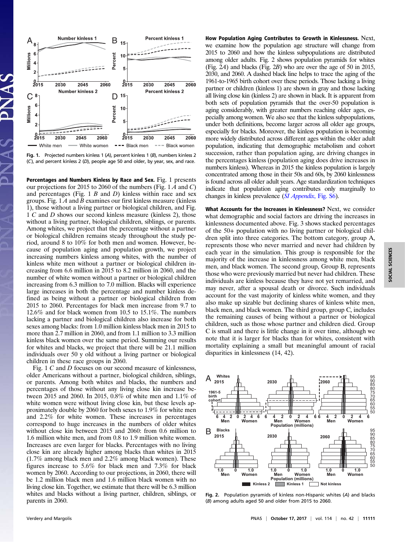

Fig. 1. Projected numbers kinless 1 (A), percent kinless 1 (B), numbers kinless 2 (C), and percent kinless 2 (D), people age 50 and older, by year, sex, and race.

Percentages and Numbers Kinless by Race and Sex. Fig. 1 presents our projections for 2015 to 2060 of the numbers (Fig. 1 A and C) and percentages (Fig. 1  $B$  and  $D$ ) kinless within race and sex groups. Fig.  $1 \overline{A}$  and  $\overline{B}$  examines our first kinless measure (kinless 1), those without a living partner or biological children, and Fig. 1 C and D shows our second kinless measure (kinless 2), those without a living partner, biological children, siblings, or parents. Among whites, we project that the percentage without a partner or biological children remains steady throughout the study period, around 8 to 10% for both men and women. However, because of population aging and population growth, we project increasing numbers kinless among whites, with the number of kinless white men without a partner or biological children increasing from 6.6 million in 2015 to 8.2 million in 2060, and the number of white women without a partner or biological children increasing from 6.3 million to 7.0 million. Blacks will experience large increases in both the percentage and number kinless defined as being without a partner or biological children from 2015 to 2060. Percentages for black men increase from 9.7 to 12.6% and for black women from 10.5 to 15.1%. The numbers lacking a partner and biological children also increase for both sexes among blacks: from 1.0 million kinless black men in 2015 to more than 2.7 million in 2060, and from 1.1 million to 3.3 million kinless black women over the same period. Summing our results for whites and blacks, we project that there will be 21.1 million individuals over 50 y old without a living partner or biological children in these race groups in 2060.

Fig. 1 C and D focuses on our second measure of kinlessness, older Americans without a partner, biological children, siblings, or parents. Among both whites and blacks, the numbers and percentages of those without any living close kin increase between 2015 and 2060. In 2015, 0.8% of white men and 1.1% of white women were without living close kin, but these levels approximately double by 2060 for both sexes to 1.9% for white men and 2.2% for white women. These increases in percentages correspond to huge increases in the numbers of older whites without close kin between 2015 and 2060: from 0.6 million to 1.6 million white men, and from 0.8 to 1.9 million white women. Increases are even larger for blacks. Percentages with no living close kin are already higher among blacks than whites in 2015 (1.7% among black men and 2.2% among black women). These figures increase to 5.6% for black men and 7.3% for black women by 2060. According to our projections, in 2060, there will be 1.2 million black men and 1.6 million black women with no living close kin. Together, we estimate that there will be 6.3 million whites and blacks without a living partner, children, siblings, or parents in 2060.

How Population Aging Contributes to Growth in Kinlessness. Next, we examine how the population age structure will change from 2015 to 2060 and how the kinless subpopulations are distributed among older adults. Fig. 2 shows population pyramids for whites (Fig. 2A) and blacks (Fig. 2B) who are over the age of 50 in 2015, 2030, and 2060. A dashed black line helps to trace the aging of the 1961-to-1965 birth cohort over these periods. Those lacking a living partner or children (kinless 1) are shown in gray and those lacking all living close kin (kinless 2) are shown in black. It is apparent from both sets of population pyramids that the over-50 population is aging considerably, with greater numbers reaching older ages, especially among women. We also see that the kinless subpopulations, under both definitions, become larger across all older age groups, especially for blacks. Moreover, the kinless population is becoming more widely distributed across different ages within the older adult population, indicating that demographic metabolism and cohort succession, rather than population aging, are driving changes in the percentages kinless (population aging does drive increases in numbers kinless). Whereas in 2015 the kinless population is largely concentrated among those in their 50s and 60s, by 2060 kinlessness is found across all older adult years. Age standardization techniques indicate that population aging contributes only marginally to changes in kinless prevalence ([SI Appendix](http://www.pnas.org/lookup/suppl/doi:10.1073/pnas.1710341114/-/DCSupplemental/pnas.1710341114.sapp.pdf), Fig. S6).

What Accounts for the Increases in Kinlessness? Next, we consider what demographic and social factors are driving the increases in kinlessness documented above. Fig. 3 shows stacked percentages of the 50+ population with no living partner or biological children split into three categories. The bottom category, group A, represents those who never married and never had children by each year in the simulation. This group is responsible for the majority of the increase in kinlessness among white men, black men, and black women. The second group, Group B, represents those who were previously married but never had children. These individuals are kinless because they have not yet remarried, and may never, after a spousal death or divorce. Such individuals account for the vast majority of kinless white women, and they also make up sizable but declining shares of kinless white men, black men, and black women. The third group, group C, includes the remaining causes of being without a partner or biological children, such as those whose partner and children died. Group C is small and there is little change in it over time, although we note that it is larger for blacks than for whites, consistent with mortality explaining a small but meaningful amount of racial disparities in kinlessness (14, 42).



Fig. 2. Population pyramids of kinless non-Hispanic whites (A) and blacks (B) among adults aged 50 and older from 2015 to 2060.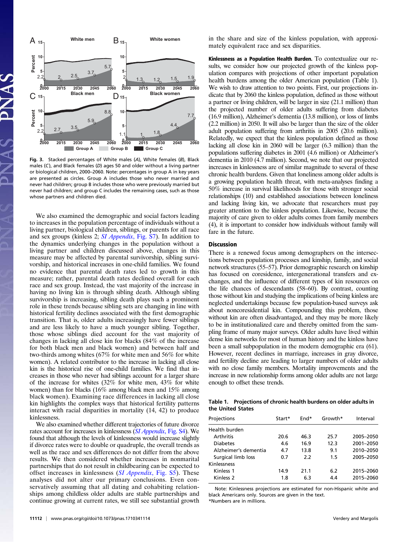

Fig. 3. Stacked percentages of White males (A), White females (B), Black males (C), and Black females (D) ages 50 and older without a living partner or biological children, 2000–2060. Note: percentages in group A in key years are presented as circles. Group A includes those who never married and never had children; group B includes those who were previously married but never had children; and group C includes the remaining cases, such as those whose partners and children died.

We also examined the demographic and social factors leading to increases in the population percentage of individuals without a living partner, biological children, siblings, or parents for all race and sex groups (kinless 2; [SI Appendix](http://www.pnas.org/lookup/suppl/doi:10.1073/pnas.1710341114/-/DCSupplemental/pnas.1710341114.sapp.pdf), Fig. S7). In addition to the dynamics underlying changes in the population without a living partner and children discussed above, changes in this measure may be affected by parental survivorship, sibling survivorship, and historical increases in one-child families. We found no evidence that parental death rates led to growth in this measure; rather, parental death rates declined overall for each race and sex group. Instead, the vast majority of the increase in having no living kin is through sibling death. Although sibling survivorship is increasing, sibling death plays such a prominent role in these trends because sibling sets are changing in line with historical fertility declines associated with the first demographic transition. That is, older adults increasingly have fewer siblings and are less likely to have a much younger sibling. Together, those whose siblings died account for the vast majority of changes in lacking all close kin for blacks (84% of the increase for both black men and black women) and between half and two-thirds among whites (67% for white men and 56% for white women). A related contributor to the increase in lacking all close kin is the historical rise of one-child families. We find that increases in those who never had siblings account for a larger share of the increase for whites (32% for white men, 43% for white women) than for blacks (16% among black men and 15% among black women). Examining race differences in lacking all close kin highlights the complex ways that historical fertility patterns interact with racial disparities in mortality (14, 42) to produce kinlessness.

We also examined whether different trajectories of future divorce rates account for increases in kinlessness ([SI Appendix](http://www.pnas.org/lookup/suppl/doi:10.1073/pnas.1710341114/-/DCSupplemental/pnas.1710341114.sapp.pdf), Fig. S4). We found that although the levels of kinlessness would increase slightly if divorce rates were to double or quadruple, the overall trends as well as the race and sex differences do not differ from the above results. We then considered whether increases in nonmarital partnerships that do not result in childbearing can be expected to offset increases in kinlessness ([SI Appendix](http://www.pnas.org/lookup/suppl/doi:10.1073/pnas.1710341114/-/DCSupplemental/pnas.1710341114.sapp.pdf), Fig. S5). These analyses did not alter our primary conclusions. Even conservatively assuming that all dating and cohabiting relationships among childless older adults are stable partnerships and continue growing at current rates, we still see substantial growth in the share and size of the kinless population, with approximately equivalent race and sex disparities.

Kinlessness as a Population Health Burden. To contextualize our results, we consider how our projected growth of the kinless population compares with projections of other important population health burdens among the older American population (Table 1). We wish to draw attention to two points. First, our projections indicate that by 2060 the kinless population, defined as those without a partner or living children, will be larger in size (21.1 million) than the projected number of older adults suffering from diabetes (16.9 million), Alzheimer's dementia (13.8 million), or loss of limbs (2.2 million) in 2050. It will also be larger than the size of the older adult population suffering from arthritis in 2005 (20.6 million). Relatedly, we expect that the kinless population defined as those lacking all close kin in 2060 will be larger (6.3 million) than the populations suffering diabetes in 2001 (4.6 million) or Alzheimer's dementia in 2010 (4.7 million). Second, we note that our projected increases in kinlessness are of similar magnitude to several of these chronic health burdens. Given that loneliness among older adults is a growing population health threat, with meta-analyses finding a 50% increase in survival likelihoods for those with stronger social relationships (10) and established associations between loneliness and lacking living kin, we advocate that researchers must pay greater attention to the kinless population. Likewise, because the majority of care given to older adults comes from family members (4), it is important to consider how individuals without family will fare in the future.

### **Discussion**

There is a renewed focus among demographers on the intersections between population processes and kinship, family, and social network structures (55–57). Prior demographic research on kinship has focused on coresidence, intergenerational transfers and exchanges, and the influence of different types of kin resources on the life chances of descendants (58–60). By contrast, counting those without kin and studying the implications of being kinless are neglected undertakings because few population-based surveys ask about noncoresidential kin. Compounding this problem, those without kin are often disadvantaged, and they may be more likely to be in institutionalized care and thereby omitted from the sampling frame of many major surveys. Older adults have lived within dense kin networks for most of human history and the kinless have been a small subpopulation in the modern demographic era (61). However, recent declines in marriage, increases in gray divorce, and fertility decline are leading to larger numbers of older adults with no close family members. Mortality improvements and the increase in new relationship forms among older adults are not large enough to offset these trends.

Table 1. Projections of chronic health burdens on older adults in the United States

| Start* | Fnd* | Growth* | Interval  |
|--------|------|---------|-----------|
|        |      |         |           |
| 20.6   | 46.3 | 25.7    | 2005-2050 |
| 4.6    | 16.9 | 12.3    | 2001-2050 |
| 4.7    | 13.8 | 9.1     | 2010-2050 |
| 0.7    | 2.2  | 1.5     | 2005-2050 |
|        |      |         |           |
| 14.9   | 21.1 | 6.2     | 2015-2060 |
| 1.8    | 6.3  | 4.4     | 2015-2060 |
|        |      |         |           |

Note: Kinlessness projections are estimated for non-Hispanic white and black Americans only. Sources are given in the text.

\*Numbers are in millions.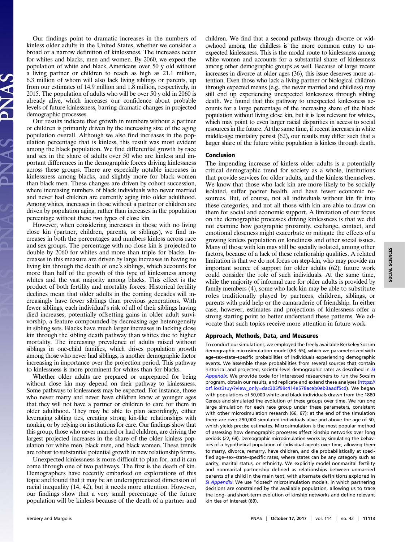Our findings point to dramatic increases in the numbers of kinless older adults in the United States, whether we consider a broad or a narrow definition of kinlessness. The increases occur for whites and blacks, men and women. By 2060, we expect the population of white and black Americans over 50 y old without a living partner or children to reach as high as 21.1 million, 6.3 million of whom will also lack living siblings or parents, up from our estimates of 14.9 million and 1.8 million, respectively, in 2015. The population of adults who will be over 50 y old in 2060 is already alive, which increases our confidence about probable levels of future kinlessness, barring dramatic changes in projected demographic processes.

Our results indicate that growth in numbers without a partner or children is primarily driven by the increasing size of the aging population overall. Although we also find increases in the population percentage that is kinless, this result was most evident among the black population. We find differential growth by race and sex in the share of adults over 50 who are kinless and important differences in the demographic forces driving kinlessness across these groups. There are especially notable increases in kinlessness among blacks, and slightly more for black women than black men. These changes are driven by cohort succession, where increasing numbers of black individuals who never married and never had children are currently aging into older adulthood. Among whites, increases in those without a partner or children are driven by population aging, rather than increases in the population percentage without these two types of close kin.

However, when considering increases in those with no living close kin (partner, children, parents, or siblings), we find increases in both the percentages and numbers kinless across race and sex groups. The percentage with no close kin is projected to double by 2060 for whites and more than triple for blacks. Increases in this measure are driven by large increases in having no living kin through the death of one's siblings, which accounts for more than half of the growth of this type of kinlessness among whites and the vast majority among blacks. This effect is the product of both fertility and mortality forces: Historical fertility declines mean that older adults in the coming decades will increasingly have fewer siblings than previous generations. With fewer siblings, each individual's risk of all of their siblings having died increases, potentially offsetting gains in older adult survivorship, a feature compounded by decreasing age heterogeneity in sibling sets. Blacks have much larger increases in lacking close kin through the sibling death pathway than whites due to higher mortality. The increasing prevalence of adults raised without siblings in one-child families, which drives population growth among those who never had siblings, is another demographic factor increasing in importance over the projection period. This pathway to kinlessness is more prominent for whites than for blacks.

Whether older adults are prepared or unprepared for being without close kin may depend on their pathway to kinlessness. Some pathways to kinlessness may be expected. For instance, those who never marry and never have children know at younger ages that they will not have a partner or children to care for them in older adulthood. They may be able to plan accordingly, either leveraging sibling ties, creating strong kin-like relationships with nonkin, or by relying on institutions for care. Our findings show that this group, those who never married or had children, are driving the largest projected increases in the share of the older kinless population for white men, black men, and black women. These trends are robust to substantial potential growth in new relationship forms.

Unexpected kinlessness is more difficult to plan for, and it can come through one of two pathways. The first is the death of kin. Demographers have recently embarked on explorations of this topic and found that it may be an underappreciated dimension of racial inequality (14, 42), but it needs more attention. However, our findings show that a very small percentage of the future population will be kinless because of the death of a partner and children. We find that a second pathway through divorce or widowhood among the childless is the more common entry to unexpected kinlessness. This is the modal route to kinlessness among white women and accounts for a substantial share of kinlessness among other demographic groups as well. Because of large recent increases in divorce at older ages (36), this issue deserves more attention. Even those who lack a living partner or biological children through expected means (e.g., the never married and childless) may still end up experiencing unexpected kinlessness through sibling death. We found that this pathway to unexpected kinlessness accounts for a large percentage of the increasing share of the black population without living close kin, but it is less relevant for whites, which may point to even larger racial disparities in access to social resources in the future. At the same time, if recent increases in white middle-age mortality persist (62), our results may differ such that a larger share of the future white population is kinless through death.

#### Conclusion

The impending increase of kinless older adults is a potentially critical demographic trend for society as a whole, institutions that provide services for older adults, and the kinless themselves. We know that those who lack kin are more likely to be socially isolated, suffer poorer health, and have fewer economic resources. But, of course, not all individuals without kin fit into these categories, and not all those with kin are able to draw on them for social and economic support. A limitation of our focus on the demographic processes driving kinlessness is that we did not examine how geographic proximity, exchange, contact, and emotional closeness might exacerbate or mitigate the effects of a growing kinless population on loneliness and other social issues. Many of those with kin may still be socially isolated, among other factors, because of a lack of these relationship qualities. A related limitation is that we do not focus on step-kin, who may provide an important source of support for older adults (62); future work could consider the role of such individuals. At the same time, while the majority of informal care for older adults is provided by family members (4), some who lack kin may be able to substitute roles traditionally played by partners, children, siblings, or parents with paid help or the camaraderie of friendship. In either case, however, estimates and projections of kinlessness offer a strong starting point to better understand these patterns. We advocate that such topics receive more attention in future work.

#### Approach, Methods, Data, and Measures

To conduct our simulations, we employed the freely available Berkeley Socsim demographic microsimulation model (63–65), which we parameterized with age–sex–state–specific probabilities of individuals experiencing demographic events. We assemble these probabilities from several sources that contain historical and projected, societal-level demographic rates as described in [SI](http://www.pnas.org/lookup/suppl/doi:10.1073/pnas.1710341114/-/DCSupplemental/pnas.1710341114.sapp.pdf) [Appendix](http://www.pnas.org/lookup/suppl/doi:10.1073/pnas.1710341114/-/DCSupplemental/pnas.1710341114.sapp.pdf). We provide code for interested researchers to run the Socsim program, obtain our results, and replicate and extend these analyses [\(https://](https://osf.io/z3suy/?view_only=dac305f99c414e578aceb0eb3aadf5cd) osf.io/z3suy/?view\_only=[dac305f99c414e578aceb0eb3aadf5cd\)](https://osf.io/z3suy/?view_only=dac305f99c414e578aceb0eb3aadf5cd). We began with populations of 50,000 white and black individuals drawn from the 1880 Census and simulated the evolution of these groups over time. We run one large simulation for each race group under these parameters, consistent with other microsimulation research (66, 67); at the end of the simulation there are over 290,000 simulated individuals alive and above the age of 50, which yields precise estimates. Microsimulation is the most popular method of assessing how demographic processes affect kinship networks over long periods (22, 68). Demographic microsimulation works by simulating the behaviors of a hypothetical population of individual agents over time, allowing them to marry, divorce, remarry, have children, and die probabilistically at specified age–sex–state–specific rates, where states can be any category such as parity, marital status, or ethnicity. We explicitly model nonmarital fertility and nonmarital partnership defined as relationships between unmarried parents of a child in the main text, with alternate definitions explored in [SI Appendix](http://www.pnas.org/lookup/suppl/doi:10.1073/pnas.1710341114/-/DCSupplemental/pnas.1710341114.sapp.pdf). We use "closed" microsimulation models, in which partnering decisions are constrained by the available population, allowing us to trace the long- and short-term evolution of kinship networks and define relevant kin ties of interest (69).